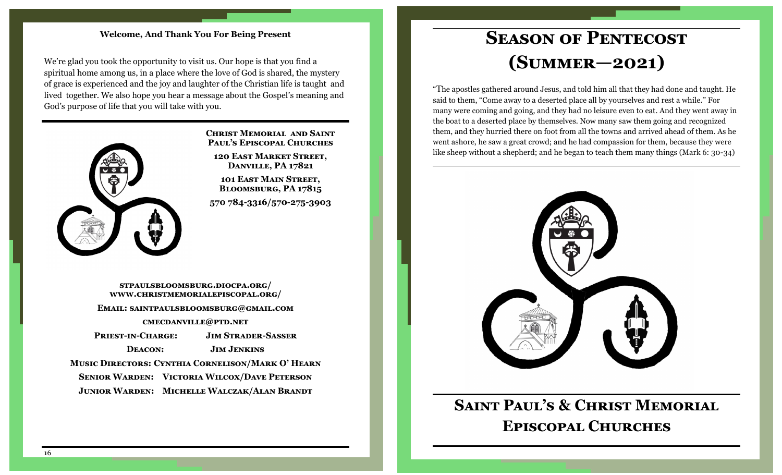#### **Welcome, And Thank You For Being Present**

We're glad you took the opportunity to visit us. Our hope is that you find a spiritual home among us, in a place where the love of God is shared, the mystery of grace is experienced and the joy and laughter of the Christian life is taught and lived together. We also hope you hear a message about the Gospel's meaning and God's purpose of life that you will take with you.



#### **Christ Memorial and Saint Paul's Episcopal Churches**

**120 East Market Street, Danville, PA 17821**

**101 East Main Street, Bloomsburg, PA 17815**

**570 784-3316/570-275-3903** 

**stpaulsbloomsburg.diocpa.org/ www.christmemorialepiscopal.org/ Email: saintpaulsbloomsburg@gmail.com cmecdanville@ptd.net Priest-in-Charge: Jim Strader-Sasser Deacon: Jim Jenkins Music Directors: Cynthia Cornelison/Mark O' Hearn Senior Warden: Victoria Wilcox/Dave Peterson Junior Warden: Michelle Walczak/Alan Brandt**

# **Season of Pentecost (Summer—2021)**

"The apostles gathered around Jesus, and told him all that they had done and taught. He said to them, "Come away to a deserted place all by yourselves and rest a while." For many were coming and going, and they had no leisure even to eat. And they went away in the boat to a deserted place by themselves. Now many saw them going and recognized them, and they hurried there on foot from all the towns and arrived ahead of them. As he went ashore, he saw a great crowd; and he had compassion for them, because they were like sheep without a shepherd; and he began to teach them many things (Mark 6: 30-34)



# **Saint Paul's & Christ Memorial Episcopal Churches**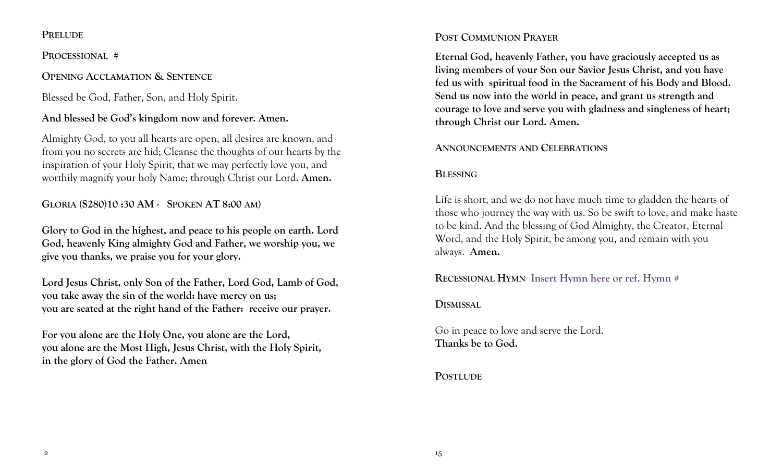#### **PRELUDE**

**PROCESSIONAL #** 

### **OPENING ACCLAMATION & SENTENCE**

Blessed be God, Father, Son, and Holy Spirit.

## **And blessed be God's kingdom now and forever. Amen.**

Almighty God, to you all hearts are open, all desires are known, and from you no secrets are hid; Cleanse the thoughts of our hearts by the inspiration of your Holy Spirit, that we may perfectly love you, and worthily magnify your holy Name; through Christ our Lord. **Amen.** 

## **GLORIA (S280)10 :30 AM - SPOKEN AT 8:00 AM)**

**Glory to God in the highest, and peace to his people on earth. Lord God, heavenly King almighty God and Father, we worship you, we give you thanks, we praise you for your glory.**

**Lord Jesus Christ, only Son of the Father, Lord God, Lamb of God, you take away the sin of the world: have mercy on us; you are seated at the right hand of the Father: receive our prayer.**

**For you alone are the Holy One, you alone are the Lord, you alone are the Most High, Jesus Christ, with the Holy Spirit, in the glory of God the Father. Amen** 

## **POST COMMUNION PRAYER**

**Eternal God, heavenly Father, you have graciously accepted us as living members of your Son our Savior Jesus Christ, and you have fed us with spiritual food in the Sacrament of his Body and Blood. Send us now into the world in peace, and grant us strength and courage to love and serve you with gladness and singleness of heart; through Christ our Lord. Amen.**

### **ANNOUNCEMENTS AND CELEBRATIONS**

## **BLESSING**

Life is short, and we do not have much time to gladden the hearts of those who journey the way with us. So be swift to love, and make haste to be kind. And the blessing of God Almighty, the Creator, Eternal Word, and the Holy Spirit, be among you, and remain with you always. **Amen.**

**RECESSIONAL HYMN Insert Hymn here or ref. Hymn #** 

### **DISMISSAL**

Go in peace to love and serve the Lord. **Thanks be to God.** 

### **POSTLUDE**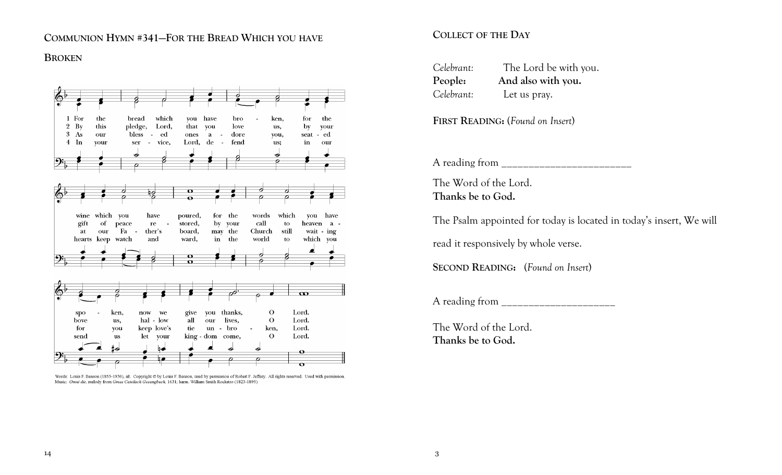#### **COMMUNION HYMN #341—FOR THE BREAD WHICH YOU HAVE**

#### **BROKEN**



Words: Louis F. Benson (1855-1930), alt. Copyright @ by Louis F. Benson, used by permission of Robert F. Jeffery. All rights reserved. Used with permission. Music: Omni die, melody from Gross Catolisch Gesangbuch, 1631; harm. William Smith Rockstro (1823-1895)

#### **COLLECT OF THE DAY**

| Celebrant: | The Lord be with you. |
|------------|-----------------------|
| People:    | And also with you.    |
| Celebrant: | Let us pray.          |

**FIRST READING:** (*Found on Insert*)

A reading from

The Word of the Lord. **Thanks be to God.**

The Psalm appointed for today is located in today's insert, We will

read it responsively by whole verse.

**SECOND READING:** (*Found on Insert*)

A reading from

The Word of the Lord. **Thanks be to God.**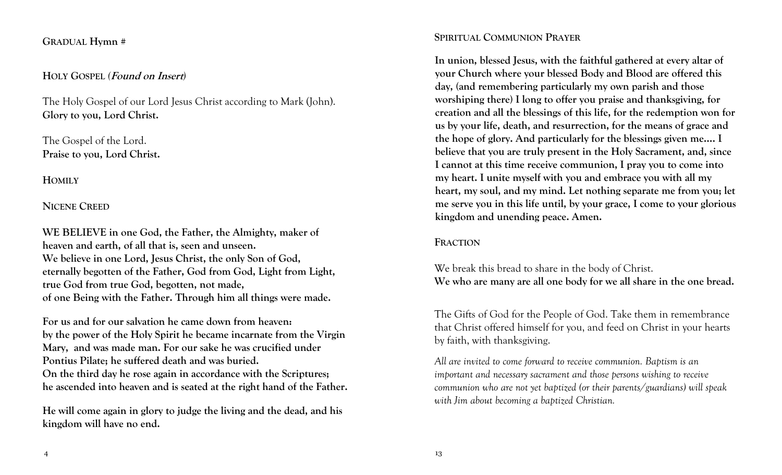#### **GRADUAL Hymn #**

#### **HOLY GOSPEL** *(***Found on Insert***)*

The Holy Gospel of our Lord Jesus Christ according to Mark (John). **Glory to you, Lord Christ.** 

The Gospel of the Lord. **Praise to you, Lord Christ.** 

**HOMILY** 

#### **NICENE CREED**

**WE BELIEVE in one God, the Father, the Almighty, maker of heaven and earth, of all that is, seen and unseen. We believe in one Lord, Jesus Christ, the only Son of God, eternally begotten of the Father, God from God, Light from Light, true God from true God, begotten, not made, of one Being with the Father. Through him all things were made.**

**For us and for our salvation he came down from heaven: by the power of the Holy Spirit he became incarnate from the Virgin Mary, and was made man. For our sake he was crucified under Pontius Pilate; he suffered death and was buried. On the third day he rose again in accordance with the Scriptures; he ascended into heaven and is seated at the right hand of the Father.**

**He will come again in glory to judge the living and the dead, and his kingdom will have no end.**

#### **SPIRITUAL COMMUNION PRAYER**

**In union, blessed Jesus, with the faithful gathered at every altar of your Church where your blessed Body and Blood are offered this day, (and remembering particularly my own parish and those worshiping there) I long to offer you praise and thanksgiving, for creation and all the blessings of this life, for the redemption won for us by your life, death, and resurrection, for the means of grace and the hope of glory. And particularly for the blessings given me…. I believe that you are truly present in the Holy Sacrament, and, since I cannot at this time receive communion, I pray you to come into my heart. I unite myself with you and embrace you with all my heart, my soul, and my mind. Let nothing separate me from you; let me serve you in this life until, by your grace, I come to your glorious kingdom and unending peace. Amen.** 

#### **FRACTION**

We break this bread to share in the body of Christ. **We who are many are all one body for we all share in the one bread.**

The Gifts of God for the People of God. Take them in remembrance that Christ offered himself for you, and feed on Christ in your hearts by faith, with thanksgiving.

*All are invited to come forward to receive communion. Baptism is an important and necessary sacrament and those persons wishing to receive communion who are not yet baptized (or their parents/guardians) will speak with Jim about becoming a baptized Christian.*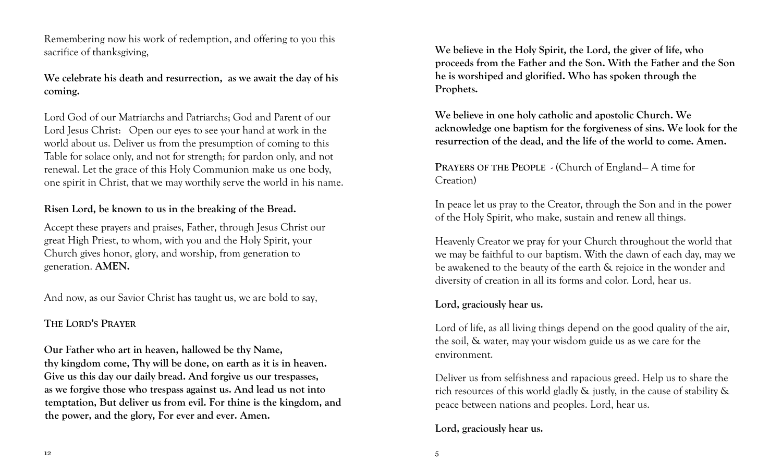Remembering now his work of redemption, and offering to you this sacrifice of thanksgiving,

**We celebrate his death and resurrection, as we await the day of his coming.** 

Lord God of our Matriarchs and Patriarchs; God and Parent of our Lord Jesus Christ: Open our eyes to see your hand at work in the world about us. Deliver us from the presumption of coming to this Table for solace only, and not for strength; for pardon only, and not renewal. Let the grace of this Holy Communion make us one body, one spirit in Christ, that we may worthily serve the world in his name.

#### **Risen Lord, be known to us in the breaking of the Bread.**

Accept these prayers and praises, Father, through Jesus Christ our great High Priest, to whom, with you and the Holy Spirit, your Church gives honor, glory, and worship, from generation to generation. **AMEN.**

And now, as our Savior Christ has taught us, we are bold to say,

## **THE LORD'S PRAYER**

**Our Father who art in heaven, hallowed be thy Name, thy kingdom come, Thy will be done, on earth as it is in heaven. Give us this day our daily bread. And forgive us our trespasses, as we forgive those who trespass against us. And lead us not into temptation, But deliver us from evil. For thine is the kingdom, and the power, and the glory, For ever and ever. Amen.**

**We believe in the Holy Spirit, the Lord, the giver of life, who proceeds from the Father and the Son. With the Father and the Son he is worshiped and glorified. Who has spoken through the Prophets.**

**We believe in one holy catholic and apostolic Church. We acknowledge one baptism for the forgiveness of sins. We look for the resurrection of the dead, and the life of the world to come. Amen.**

**PRAYERS OF THE PEOPLE** - (Church of England— A time for Creation)

In peace let us pray to the Creator, through the Son and in the power of the Holy Spirit, who make, sustain and renew all things.

Heavenly Creator we pray for your Church throughout the world that we may be faithful to our baptism. With the dawn of each day, may we be awakened to the beauty of the earth & rejoice in the wonder and diversity of creation in all its forms and color. Lord, hear us.

### **Lord, graciously hear us.**

Lord of life, as all living things depend on the good quality of the air, the soil, & water, may your wisdom guide us as we care for the environment.

Deliver us from selfishness and rapacious greed. Help us to share the rich resources of this world gladly & justly, in the cause of stability & peace between nations and peoples. Lord, hear us.

## **Lord, graciously hear us.**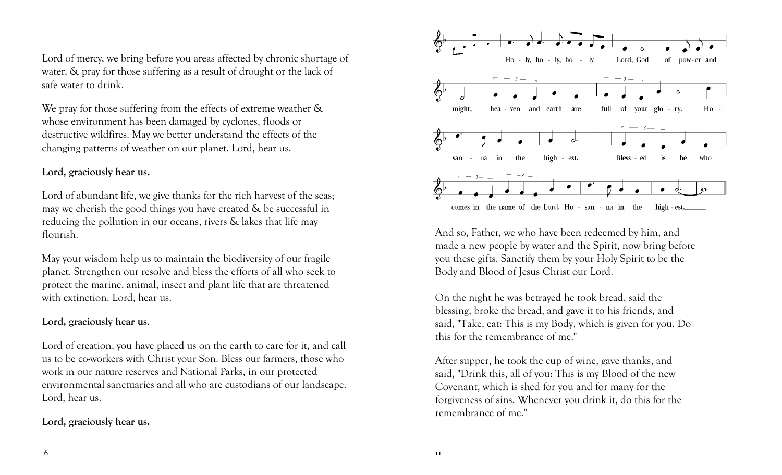Lord of mercy, we bring before you areas affected by chronic shortage of water, & pray for those suffering as a result of drought or the lack of safe water to drink.

We pray for those suffering from the effects of extreme weather  $\&$ whose environment has been damaged by cyclones, floods or destructive wildfires. May we better understand the effects of the changing patterns of weather on our planet. Lord, hear us.

#### **Lord, graciously hear us.**

Lord of abundant life, we give thanks for the rich harvest of the seas; may we cherish the good things you have created  $\&$  be successful in reducing the pollution in our oceans, rivers & lakes that life may flourish.

May your wisdom help us to maintain the biodiversity of our fragile planet. Strengthen our resolve and bless the efforts of all who seek to protect the marine, animal, insect and plant life that are threatened with extinction. Lord, hear us.

#### **Lord, graciously hear us**.

Lord of creation, you have placed us on the earth to care for it, and call us to be co-workers with Christ your Son. Bless our farmers, those who work in our nature reserves and National Parks, in our protected environmental sanctuaries and all who are custodians of our landscape. Lord, hear us.

### **Lord, graciously hear us.**



And so, Father, we who have been redeemed by him, and made a new people by water and the Spirit, now bring before you these gifts. Sanctify them by your Holy Spirit to be the Body and Blood of Jesus Christ our Lord.

On the night he was betrayed he took bread, said the blessing, broke the bread, and gave it to his friends, and said, "Take, eat: This is my Body, which is given for you. Do this for the remembrance of me."

After supper, he took the cup of wine, gave thanks, and said, "Drink this, all of you: This is my Blood of the new Covenant, which is shed for you and for many for the forgiveness of sins. Whenever you drink it, do this for the remembrance of me."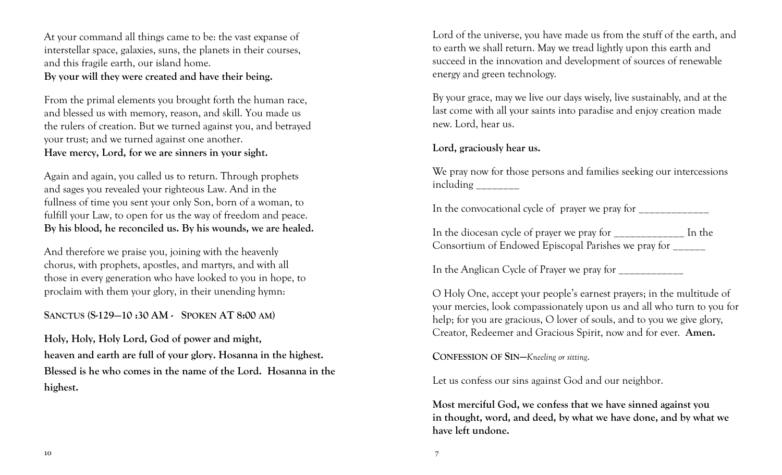At your command all things came to be: the vast expanse of interstellar space, galaxies, suns, the planets in their courses, and this fragile earth, our island home.

**By your will they were created and have their being.**

From the primal elements you brought forth the human race, and blessed us with memory, reason, and skill. You made us the rulers of creation. But we turned against you, and betrayed your trust; and we turned against one another. **Have mercy, Lord, for we are sinners in your sight.**

Again and again, you called us to return. Through prophets and sages you revealed your righteous Law. And in the fullness of time you sent your only Son, born of a woman, to fulfill your Law, to open for us the way of freedom and peace. **By his blood, he reconciled us. By his wounds, we are healed.**

And therefore we praise you, joining with the heavenly chorus, with prophets, apostles, and martyrs, and with all those in every generation who have looked to you in hope, to proclaim with them your glory, in their unending hymn:

**SANCTUS (S-129—10 :30 AM - SPOKEN AT 8:00 AM)**

**Holy, Holy, Holy Lord, God of power and might, heaven and earth are full of your glory. Hosanna in the highest. Blessed is he who comes in the name of the Lord. Hosanna in the highest.** 

Lord of the universe, you have made us from the stuff of the earth, and to earth we shall return. May we tread lightly upon this earth and succeed in the innovation and development of sources of renewable energy and green technology.

By your grace, may we live our days wisely, live sustainably, and at the last come with all your saints into paradise and enjoy creation made new. Lord, hear us.

**Lord, graciously hear us.**

We pray now for those persons and families seeking our intercessions including **the set of the set of the set of the set of the set of the set of the set of the set of the set of the set of the set of the set of the set of the set of the set of the set of the set of the set of the set of th** 

In the convocational cycle of prayer we pray for  $\frac{1}{\sqrt{2}}$ 

In the diocesan cycle of prayer we pray for \_\_\_\_\_\_\_\_\_\_\_\_\_ In the Consortium of Endowed Episcopal Parishes we pray for \_\_\_\_\_\_

In the Anglican Cycle of Prayer we pray for \_\_\_\_\_\_\_\_\_\_\_\_

O Holy One, accept your people's earnest prayers; in the multitude of your mercies, look compassionately upon us and all who turn to you for help; for you are gracious, O lover of souls, and to you we give glory, Creator, Redeemer and Gracious Spirit, now and for ever. **Amen.**

**CONFESSION OF SIN—***Kneeling or sitting*.

Let us confess our sins against God and our neighbor.

**Most merciful God, we confess that we have sinned against you in thought, word, and deed, by what we have done, and by what we have left undone.**